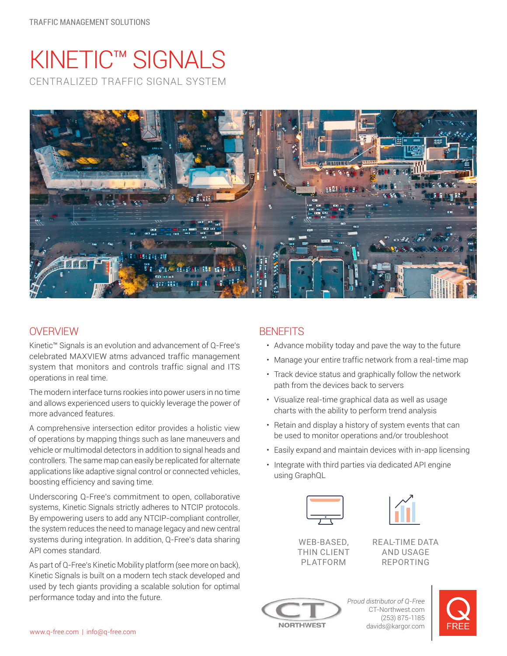# KINETIC™ SIGNALS CENTRALIZED TRAFFIC SIGNAL SYSTEM



# **OVERVIEW**

Kinetic™ Signals is an evolution and advancement of Q-Free's celebrated MAXVIEW atms advanced traffic management system that monitors and controls traffic signal and ITS operations in real time.

The modern interface turns rookies into power users in no time and allows experienced users to quickly leverage the power of more advanced features.

A comprehensive intersection editor provides a holistic view of operations by mapping things such as lane maneuvers and vehicle or multimodal detectors in addition to signal heads and controllers. The same map can easily be replicated for alternate applications like adaptive signal control or connected vehicles, boosting efficiency and saving time.

Underscoring Q-Free's commitment to open, collaborative systems, Kinetic Signals strictly adheres to NTCIP protocols. By empowering users to add any NTCIP-compliant controller, the system reduces the need to manage legacy and new central systems during integration. In addition, Q-Free's data sharing API comes standard.

As part of Q-Free's Kinetic Mobility platform (see more on back), Kinetic Signals is built on a modern tech stack developed and used by tech giants providing a scalable solution for optimal performance today and into the future.

# **BENEFITS**

- Advance mobility today and pave the way to the future
- Manage your entire traffic network from a real-time map
- Track device status and graphically follow the network path from the devices back to servers
- Visualize real-time graphical data as well as usage charts with the ability to perform trend analysis
- Retain and display a history of system events that can be used to monitor operations and/or troubleshoot
- Easily expand and maintain devices with in-app licensing
- Integrate with third parties via dedicated API engine using GraphQL





REAL-TIME DATA AND USAGE REPORTING



CT-Northwest.com (253) 875-1185 davids@kargor.com